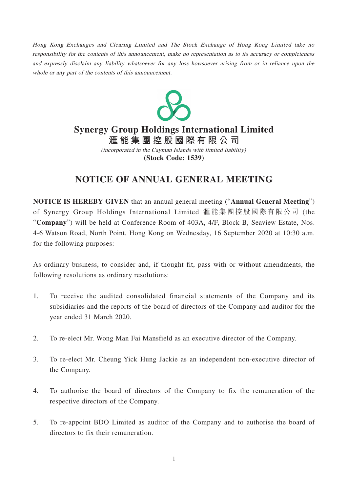Hong Kong Exchanges and Clearing Limited and The Stock Exchange of Hong Kong Limited take no responsibility for the contents of this announcement, make no representation as to its accuracy or completeness and expressly disclaim any liability whatsoever for any loss howsoever arising from or in reliance upon the whole or any part of the contents of this announcement.



# **Synergy Group Holdings International Limited**

**滙能集團控股國際有限公 司 (Stock Code: 1539)** (incorporated in the Cayman Islands with limited liability)

## **NOTICE OF ANNUAL GENERAL MEETING**

**NOTICE IS HEREBY GIVEN** that an annual general meeting ("**Annual General Meeting**") of Synergy Group Holdings International Limited 滙能集團控股國際有限公司 (the "**Company**") will be held at Conference Room of 403A, 4/F, Block B, Seaview Estate, Nos. 4-6 Watson Road, North Point, Hong Kong on Wednesday, 16 September 2020 at 10:30 a.m. for the following purposes:

As ordinary business, to consider and, if thought fit, pass with or without amendments, the following resolutions as ordinary resolutions:

- 1. To receive the audited consolidated financial statements of the Company and its subsidiaries and the reports of the board of directors of the Company and auditor for the year ended 31 March 2020.
- 2. To re-elect Mr. Wong Man Fai Mansfield as an executive director of the Company.
- 3. To re-elect Mr. Cheung Yick Hung Jackie as an independent non-executive director of the Company.
- 4. To authorise the board of directors of the Company to fix the remuneration of the respective directors of the Company.
- 5. To re-appoint BDO Limited as auditor of the Company and to authorise the board of directors to fix their remuneration.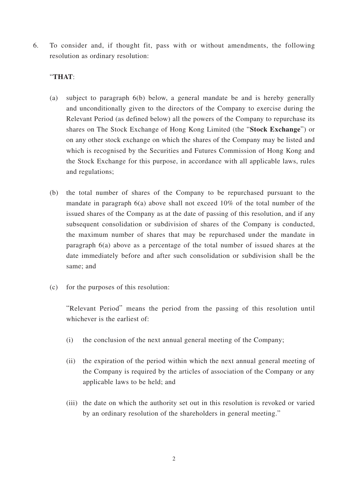6. To consider and, if thought fit, pass with or without amendments, the following resolution as ordinary resolution:

### "**THAT**:

- (a) subject to paragraph 6(b) below, a general mandate be and is hereby generally and unconditionally given to the directors of the Company to exercise during the Relevant Period (as defined below) all the powers of the Company to repurchase its shares on The Stock Exchange of Hong Kong Limited (the "**Stock Exchange**") or on any other stock exchange on which the shares of the Company may be listed and which is recognised by the Securities and Futures Commission of Hong Kong and the Stock Exchange for this purpose, in accordance with all applicable laws, rules and regulations;
- (b) the total number of shares of the Company to be repurchased pursuant to the mandate in paragraph 6(a) above shall not exceed 10% of the total number of the issued shares of the Company as at the date of passing of this resolution, and if any subsequent consolidation or subdivision of shares of the Company is conducted, the maximum number of shares that may be repurchased under the mandate in paragraph 6(a) above as a percentage of the total number of issued shares at the date immediately before and after such consolidation or subdivision shall be the same; and
- (c) for the purposes of this resolution:

"Relevant Period" means the period from the passing of this resolution until whichever is the earliest of:

- (i) the conclusion of the next annual general meeting of the Company;
- (ii) the expiration of the period within which the next annual general meeting of the Company is required by the articles of association of the Company or any applicable laws to be held; and
- (iii) the date on which the authority set out in this resolution is revoked or varied by an ordinary resolution of the shareholders in general meeting."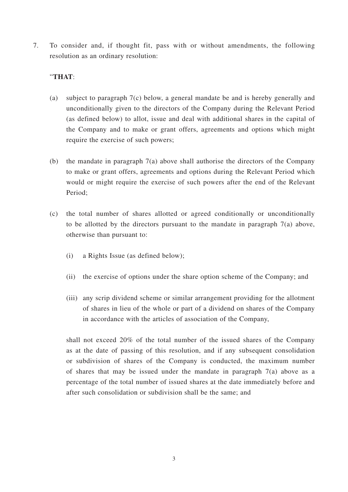7. To consider and, if thought fit, pass with or without amendments, the following resolution as an ordinary resolution:

## "**THAT**:

- (a) subject to paragraph 7(c) below, a general mandate be and is hereby generally and unconditionally given to the directors of the Company during the Relevant Period (as defined below) to allot, issue and deal with additional shares in the capital of the Company and to make or grant offers, agreements and options which might require the exercise of such powers;
- (b) the mandate in paragraph 7(a) above shall authorise the directors of the Company to make or grant offers, agreements and options during the Relevant Period which would or might require the exercise of such powers after the end of the Relevant Period;
- (c) the total number of shares allotted or agreed conditionally or unconditionally to be allotted by the directors pursuant to the mandate in paragraph 7(a) above, otherwise than pursuant to:
	- (i) a Rights Issue (as defined below);
	- (ii) the exercise of options under the share option scheme of the Company; and
	- (iii) any scrip dividend scheme or similar arrangement providing for the allotment of shares in lieu of the whole or part of a dividend on shares of the Company in accordance with the articles of association of the Company,

shall not exceed 20% of the total number of the issued shares of the Company as at the date of passing of this resolution, and if any subsequent consolidation or subdivision of shares of the Company is conducted, the maximum number of shares that may be issued under the mandate in paragraph 7(a) above as a percentage of the total number of issued shares at the date immediately before and after such consolidation or subdivision shall be the same; and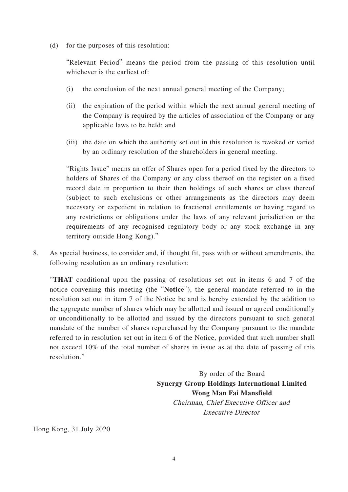(d) for the purposes of this resolution:

"Relevant Period" means the period from the passing of this resolution until whichever is the earliest of:

- (i) the conclusion of the next annual general meeting of the Company;
- (ii) the expiration of the period within which the next annual general meeting of the Company is required by the articles of association of the Company or any applicable laws to be held; and
- (iii) the date on which the authority set out in this resolution is revoked or varied by an ordinary resolution of the shareholders in general meeting.

"Rights Issue" means an offer of Shares open for a period fixed by the directors to holders of Shares of the Company or any class thereof on the register on a fixed record date in proportion to their then holdings of such shares or class thereof (subject to such exclusions or other arrangements as the directors may deem necessary or expedient in relation to fractional entitlements or having regard to any restrictions or obligations under the laws of any relevant jurisdiction or the requirements of any recognised regulatory body or any stock exchange in any territory outside Hong Kong)."

8. As special business, to consider and, if thought fit, pass with or without amendments, the following resolution as an ordinary resolution:

"**THAT** conditional upon the passing of resolutions set out in items 6 and 7 of the notice convening this meeting (the "**Notice**"), the general mandate referred to in the resolution set out in item 7 of the Notice be and is hereby extended by the addition to the aggregate number of shares which may be allotted and issued or agreed conditionally or unconditionally to be allotted and issued by the directors pursuant to such general mandate of the number of shares repurchased by the Company pursuant to the mandate referred to in resolution set out in item 6 of the Notice, provided that such number shall not exceed 10% of the total number of shares in issue as at the date of passing of this resolution."

> By order of the Board **Synergy Group Holdings International Limited Wong Man Fai Mansfield** Chairman, Chief Executive Officer and Executive Director

Hong Kong, 31 July 2020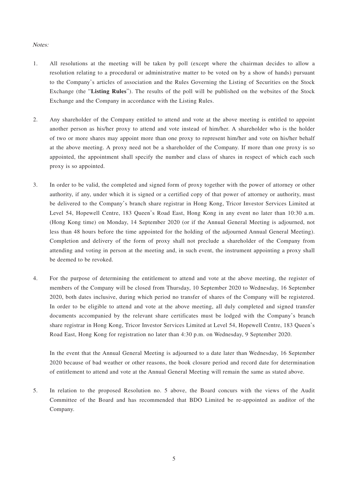#### Notes:

- 1. All resolutions at the meeting will be taken by poll (except where the chairman decides to allow a resolution relating to a procedural or administrative matter to be voted on by a show of hands) pursuant to the Company's articles of association and the Rules Governing the Listing of Securities on the Stock Exchange (the "**Listing Rules**"). The results of the poll will be published on the websites of the Stock Exchange and the Company in accordance with the Listing Rules.
- 2. Any shareholder of the Company entitled to attend and vote at the above meeting is entitled to appoint another person as his/her proxy to attend and vote instead of him/her. A shareholder who is the holder of two or more shares may appoint more than one proxy to represent him/her and vote on his/her behalf at the above meeting. A proxy need not be a shareholder of the Company. If more than one proxy is so appointed, the appointment shall specify the number and class of shares in respect of which each such proxy is so appointed.
- 3. In order to be valid, the completed and signed form of proxy together with the power of attorney or other authority, if any, under which it is signed or a certified copy of that power of attorney or authority, must be delivered to the Company's branch share registrar in Hong Kong, Tricor Investor Services Limited at Level 54, Hopewell Centre, 183 Queen's Road East, Hong Kong in any event no later than 10:30 a.m. (Hong Kong time) on Monday, 14 September 2020 (or if the Annual General Meeting is adjourned, not less than 48 hours before the time appointed for the holding of the adjourned Annual General Meeting). Completion and delivery of the form of proxy shall not preclude a shareholder of the Company from attending and voting in person at the meeting and, in such event, the instrument appointing a proxy shall be deemed to be revoked.
- 4. For the purpose of determining the entitlement to attend and vote at the above meeting, the register of members of the Company will be closed from Thursday, 10 September 2020 to Wednesday, 16 September 2020, both dates inclusive, during which period no transfer of shares of the Company will be registered. In order to be eligible to attend and vote at the above meeting, all duly completed and signed transfer documents accompanied by the relevant share certificates must be lodged with the Company's branch share registrar in Hong Kong, Tricor Investor Services Limited at Level 54, Hopewell Centre, 183 Queen's Road East, Hong Kong for registration no later than 4:30 p.m. on Wednesday, 9 September 2020.

In the event that the Annual General Meeting is adjourned to a date later than Wednesday, 16 September 2020 because of bad weather or other reasons, the book closure period and record date for determination of entitlement to attend and vote at the Annual General Meeting will remain the same as stated above.

5. In relation to the proposed Resolution no. 5 above, the Board concurs with the views of the Audit Committee of the Board and has recommended that BDO Limited be re-appointed as auditor of the Company.